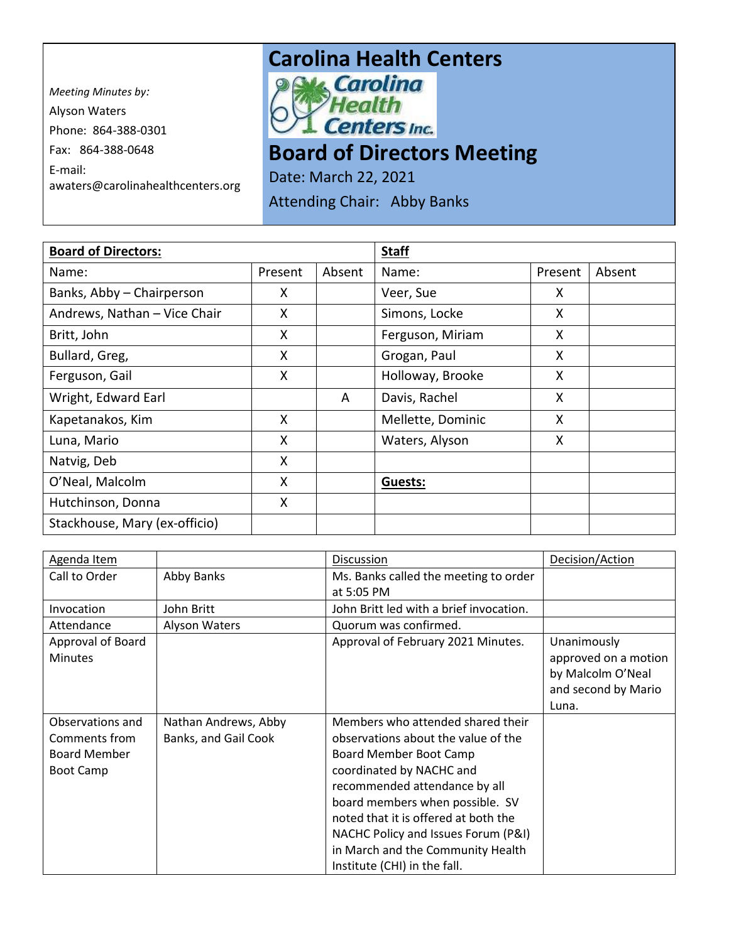*Meeting Minutes by:*  Alyson Waters Phone: 864-388-0301 Fax: 864-388-0648 E-mail: awaters@carolinahealthcenters.org

## **Carolina Health Centers**<br> **Pows Carolina**



## **Board of Directors Meeting**

Date: March 22, 2021

Attending Chair: Abby Banks

| <b>Board of Directors:</b>    |         |        | <b>Staff</b>      |         |        |
|-------------------------------|---------|--------|-------------------|---------|--------|
| Name:                         | Present | Absent | Name:             | Present | Absent |
| Banks, Abby - Chairperson     | X       |        | Veer, Sue         | X       |        |
| Andrews, Nathan - Vice Chair  | X       |        | Simons, Locke     | X       |        |
| Britt, John                   | X       |        | Ferguson, Miriam  | X       |        |
| Bullard, Greg,                | X       |        | Grogan, Paul      | X       |        |
| Ferguson, Gail                | X       |        | Holloway, Brooke  | X       |        |
| Wright, Edward Earl           |         | A      | Davis, Rachel     | X       |        |
| Kapetanakos, Kim              | X       |        | Mellette, Dominic | X       |        |
| Luna, Mario                   | X       |        | Waters, Alyson    | X       |        |
| Natvig, Deb                   | X       |        |                   |         |        |
| O'Neal, Malcolm               | X       |        | Guests:           |         |        |
| Hutchinson, Donna             | X       |        |                   |         |        |
| Stackhouse, Mary (ex-officio) |         |        |                   |         |        |

| Agenda Item                                                                  |                                              | Discussion                                                                                                                                                                                                                                                                                                                                             | Decision/Action                                                                          |
|------------------------------------------------------------------------------|----------------------------------------------|--------------------------------------------------------------------------------------------------------------------------------------------------------------------------------------------------------------------------------------------------------------------------------------------------------------------------------------------------------|------------------------------------------------------------------------------------------|
| Call to Order                                                                | Abby Banks                                   | Ms. Banks called the meeting to order                                                                                                                                                                                                                                                                                                                  |                                                                                          |
|                                                                              |                                              | at 5:05 PM                                                                                                                                                                                                                                                                                                                                             |                                                                                          |
| Invocation                                                                   | John Britt                                   | John Britt led with a brief invocation.                                                                                                                                                                                                                                                                                                                |                                                                                          |
| Attendance                                                                   | Alyson Waters                                | Quorum was confirmed.                                                                                                                                                                                                                                                                                                                                  |                                                                                          |
| Approval of Board<br><b>Minutes</b>                                          |                                              | Approval of February 2021 Minutes.                                                                                                                                                                                                                                                                                                                     | Unanimously<br>approved on a motion<br>by Malcolm O'Neal<br>and second by Mario<br>Luna. |
| Observations and<br>Comments from<br><b>Board Member</b><br><b>Boot Camp</b> | Nathan Andrews, Abby<br>Banks, and Gail Cook | Members who attended shared their<br>observations about the value of the<br>Board Member Boot Camp<br>coordinated by NACHC and<br>recommended attendance by all<br>board members when possible. SV<br>noted that it is offered at both the<br>NACHC Policy and Issues Forum (P&I)<br>in March and the Community Health<br>Institute (CHI) in the fall. |                                                                                          |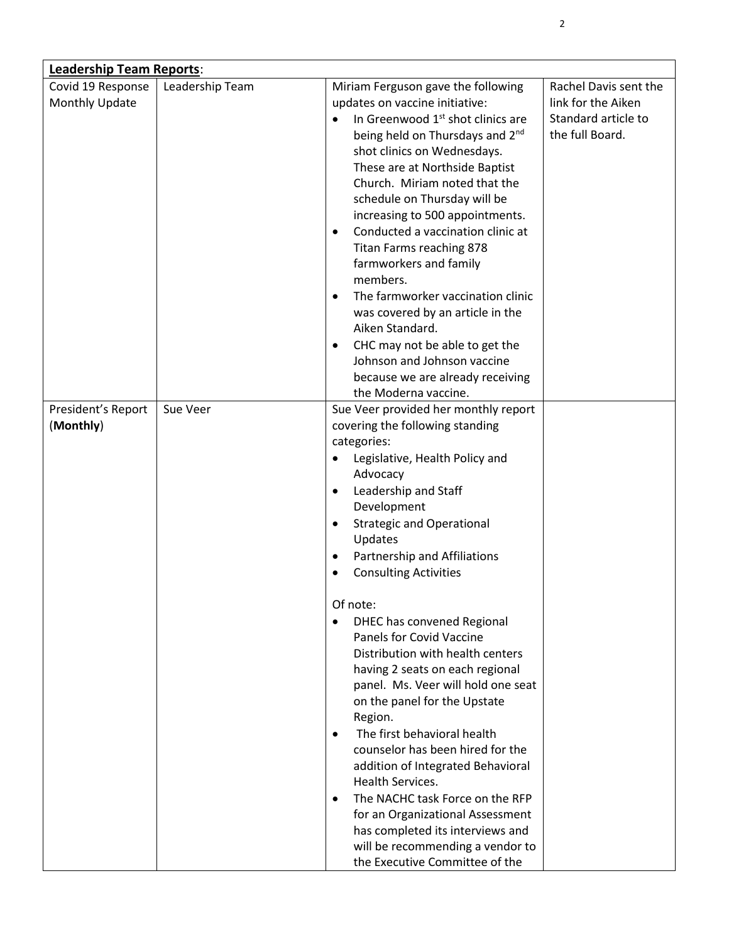| <b>Leadership Team Reports:</b> |                 |                                                                                                           |                                        |  |
|---------------------------------|-----------------|-----------------------------------------------------------------------------------------------------------|----------------------------------------|--|
| Covid 19 Response               | Leadership Team | Miriam Ferguson gave the following                                                                        | Rachel Davis sent the                  |  |
| Monthly Update                  |                 | updates on vaccine initiative:                                                                            | link for the Aiken                     |  |
|                                 |                 | In Greenwood 1 <sup>st</sup> shot clinics are<br>$\bullet$<br>being held on Thursdays and 2 <sup>nd</sup> | Standard article to<br>the full Board. |  |
|                                 |                 | shot clinics on Wednesdays.                                                                               |                                        |  |
|                                 |                 | These are at Northside Baptist                                                                            |                                        |  |
|                                 |                 | Church. Miriam noted that the                                                                             |                                        |  |
|                                 |                 | schedule on Thursday will be                                                                              |                                        |  |
|                                 |                 | increasing to 500 appointments.                                                                           |                                        |  |
|                                 |                 | Conducted a vaccination clinic at<br>$\bullet$                                                            |                                        |  |
|                                 |                 | Titan Farms reaching 878                                                                                  |                                        |  |
|                                 |                 | farmworkers and family                                                                                    |                                        |  |
|                                 |                 | members.                                                                                                  |                                        |  |
|                                 |                 | The farmworker vaccination clinic<br>٠                                                                    |                                        |  |
|                                 |                 | was covered by an article in the<br>Aiken Standard.                                                       |                                        |  |
|                                 |                 | CHC may not be able to get the<br>$\bullet$                                                               |                                        |  |
|                                 |                 | Johnson and Johnson vaccine                                                                               |                                        |  |
|                                 |                 | because we are already receiving                                                                          |                                        |  |
|                                 |                 | the Moderna vaccine.                                                                                      |                                        |  |
| President's Report              | Sue Veer        | Sue Veer provided her monthly report                                                                      |                                        |  |
| (Monthly)                       |                 | covering the following standing                                                                           |                                        |  |
|                                 |                 | categories:                                                                                               |                                        |  |
|                                 |                 | Legislative, Health Policy and                                                                            |                                        |  |
|                                 |                 | Advocacy                                                                                                  |                                        |  |
|                                 |                 | Leadership and Staff<br>$\bullet$<br>Development                                                          |                                        |  |
|                                 |                 | <b>Strategic and Operational</b><br>$\bullet$                                                             |                                        |  |
|                                 |                 | Updates                                                                                                   |                                        |  |
|                                 |                 | Partnership and Affiliations<br>$\bullet$                                                                 |                                        |  |
|                                 |                 | <b>Consulting Activities</b><br>$\bullet$                                                                 |                                        |  |
|                                 |                 | Of note:                                                                                                  |                                        |  |
|                                 |                 | DHEC has convened Regional                                                                                |                                        |  |
|                                 |                 | <b>Panels for Covid Vaccine</b>                                                                           |                                        |  |
|                                 |                 | Distribution with health centers                                                                          |                                        |  |
|                                 |                 | having 2 seats on each regional                                                                           |                                        |  |
|                                 |                 | panel. Ms. Veer will hold one seat                                                                        |                                        |  |
|                                 |                 | on the panel for the Upstate                                                                              |                                        |  |
|                                 |                 | Region.                                                                                                   |                                        |  |
|                                 |                 | The first behavioral health<br>$\bullet$                                                                  |                                        |  |
|                                 |                 | counselor has been hired for the                                                                          |                                        |  |
|                                 |                 | addition of Integrated Behavioral<br>Health Services.                                                     |                                        |  |
|                                 |                 | The NACHC task Force on the RFP<br>$\bullet$                                                              |                                        |  |
|                                 |                 | for an Organizational Assessment                                                                          |                                        |  |
|                                 |                 | has completed its interviews and                                                                          |                                        |  |
|                                 |                 | will be recommending a vendor to                                                                          |                                        |  |
|                                 |                 | the Executive Committee of the                                                                            |                                        |  |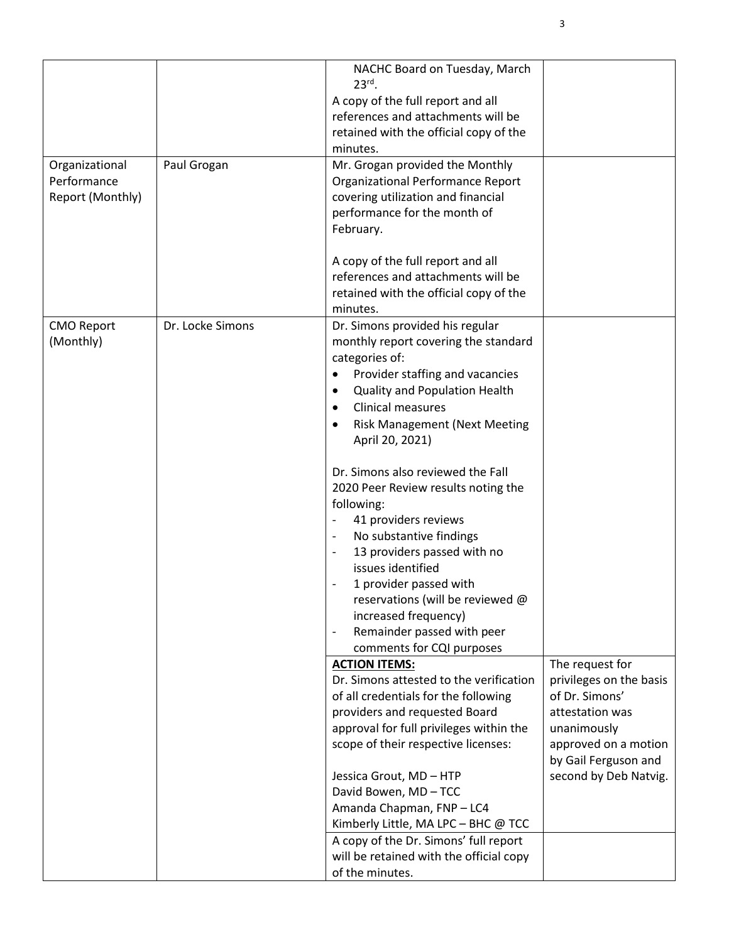| Organizational<br>Performance<br>Report (Monthly) | Paul Grogan      | NACHC Board on Tuesday, March<br>$23rd$ .<br>A copy of the full report and all<br>references and attachments will be<br>retained with the official copy of the<br>minutes.<br>Mr. Grogan provided the Monthly<br>Organizational Performance Report<br>covering utilization and financial<br>performance for the month of<br>February.<br>A copy of the full report and all<br>references and attachments will be<br>retained with the official copy of the<br>minutes.                                                                                                                                                                                                                                                          |                                                                                                                                                                         |
|---------------------------------------------------|------------------|---------------------------------------------------------------------------------------------------------------------------------------------------------------------------------------------------------------------------------------------------------------------------------------------------------------------------------------------------------------------------------------------------------------------------------------------------------------------------------------------------------------------------------------------------------------------------------------------------------------------------------------------------------------------------------------------------------------------------------|-------------------------------------------------------------------------------------------------------------------------------------------------------------------------|
| <b>CMO Report</b><br>(Monthly)                    | Dr. Locke Simons | Dr. Simons provided his regular<br>monthly report covering the standard<br>categories of:<br>Provider staffing and vacancies<br>$\bullet$<br>Quality and Population Health<br>$\bullet$<br>Clinical measures<br>٠<br><b>Risk Management (Next Meeting</b><br>$\bullet$<br>April 20, 2021)<br>Dr. Simons also reviewed the Fall<br>2020 Peer Review results noting the<br>following:<br>41 providers reviews<br>No substantive findings<br>$\overline{\phantom{a}}$<br>13 providers passed with no<br>$\overline{\phantom{a}}$<br>issues identified<br>1 provider passed with<br>reservations (will be reviewed @<br>increased frequency)<br>Remainder passed with peer<br>$\overline{\phantom{a}}$<br>comments for CQI purposes |                                                                                                                                                                         |
|                                                   |                  | <b>ACTION ITEMS:</b><br>Dr. Simons attested to the verification<br>of all credentials for the following<br>providers and requested Board<br>approval for full privileges within the<br>scope of their respective licenses:<br>Jessica Grout, MD - HTP<br>David Bowen, MD-TCC<br>Amanda Chapman, FNP-LC4<br>Kimberly Little, MA LPC - BHC @ TCC<br>A copy of the Dr. Simons' full report<br>will be retained with the official copy<br>of the minutes.                                                                                                                                                                                                                                                                           | The request for<br>privileges on the basis<br>of Dr. Simons'<br>attestation was<br>unanimously<br>approved on a motion<br>by Gail Ferguson and<br>second by Deb Natvig. |

3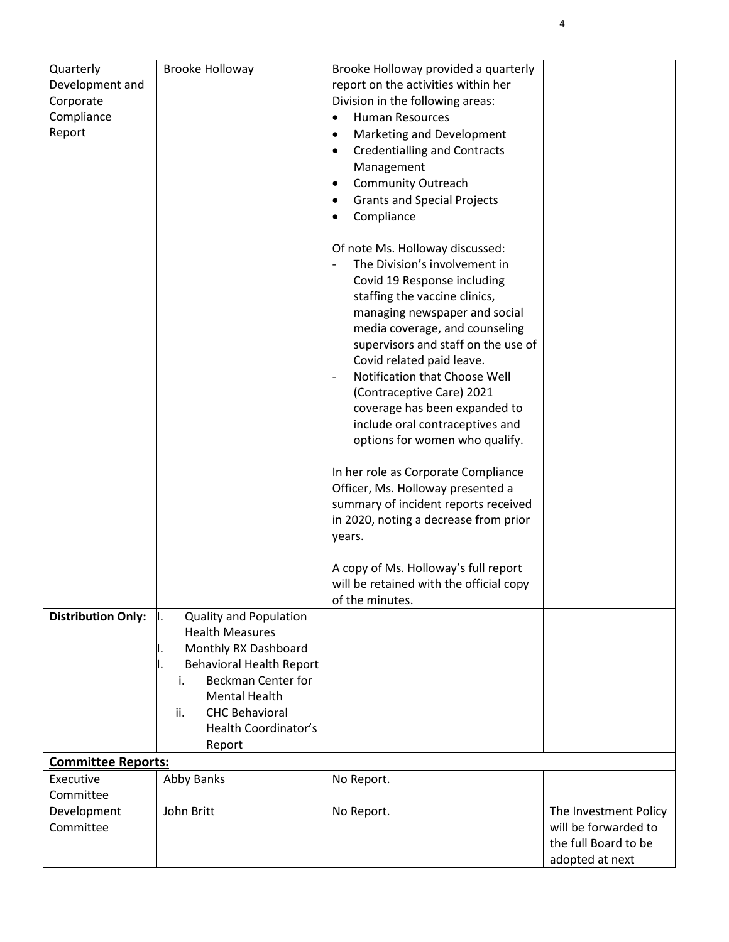| Quarterly                 | Brooke Holloway                 | Brooke Holloway provided a quarterly                      |                       |
|---------------------------|---------------------------------|-----------------------------------------------------------|-----------------------|
| Development and           |                                 | report on the activities within her                       |                       |
| Corporate                 |                                 | Division in the following areas:                          |                       |
| Compliance                |                                 | <b>Human Resources</b><br>$\bullet$                       |                       |
| Report                    |                                 | Marketing and Development<br>$\bullet$                    |                       |
|                           |                                 | <b>Credentialling and Contracts</b><br>$\bullet$          |                       |
|                           |                                 | Management                                                |                       |
|                           |                                 | <b>Community Outreach</b><br>$\bullet$                    |                       |
|                           |                                 | <b>Grants and Special Projects</b><br>$\bullet$           |                       |
|                           |                                 | Compliance<br>$\bullet$                                   |                       |
|                           |                                 |                                                           |                       |
|                           |                                 | Of note Ms. Holloway discussed:                           |                       |
|                           |                                 | The Division's involvement in                             |                       |
|                           |                                 | Covid 19 Response including                               |                       |
|                           |                                 |                                                           |                       |
|                           |                                 | staffing the vaccine clinics,                             |                       |
|                           |                                 | managing newspaper and social                             |                       |
|                           |                                 | media coverage, and counseling                            |                       |
|                           |                                 | supervisors and staff on the use of                       |                       |
|                           |                                 | Covid related paid leave.                                 |                       |
|                           |                                 | Notification that Choose Well<br>$\overline{\phantom{a}}$ |                       |
|                           |                                 | (Contraceptive Care) 2021                                 |                       |
|                           |                                 | coverage has been expanded to                             |                       |
|                           |                                 | include oral contraceptives and                           |                       |
|                           |                                 | options for women who qualify.                            |                       |
|                           |                                 |                                                           |                       |
|                           |                                 | In her role as Corporate Compliance                       |                       |
|                           |                                 | Officer, Ms. Holloway presented a                         |                       |
|                           |                                 | summary of incident reports received                      |                       |
|                           |                                 | in 2020, noting a decrease from prior                     |                       |
|                           |                                 | years.                                                    |                       |
|                           |                                 |                                                           |                       |
|                           |                                 | A copy of Ms. Holloway's full report                      |                       |
|                           |                                 | will be retained with the official copy                   |                       |
|                           |                                 | of the minutes.                                           |                       |
| <b>Distribution Only:</b> | <b>Quality and Population</b>   |                                                           |                       |
|                           | <b>Health Measures</b>          |                                                           |                       |
|                           | Monthly RX Dashboard            |                                                           |                       |
|                           | <b>Behavioral Health Report</b> |                                                           |                       |
|                           | <b>Beckman Center for</b><br>i. |                                                           |                       |
|                           | <b>Mental Health</b>            |                                                           |                       |
|                           | <b>CHC Behavioral</b><br>ii.    |                                                           |                       |
|                           | Health Coordinator's            |                                                           |                       |
|                           |                                 |                                                           |                       |
|                           | Report                          |                                                           |                       |
| <b>Committee Reports:</b> |                                 |                                                           |                       |
| Executive                 | Abby Banks                      | No Report.                                                |                       |
| Committee                 |                                 |                                                           |                       |
| Development               | John Britt                      | No Report.                                                | The Investment Policy |
| Committee                 |                                 |                                                           | will be forwarded to  |
|                           |                                 |                                                           | the full Board to be  |
|                           |                                 |                                                           | adopted at next       |

4